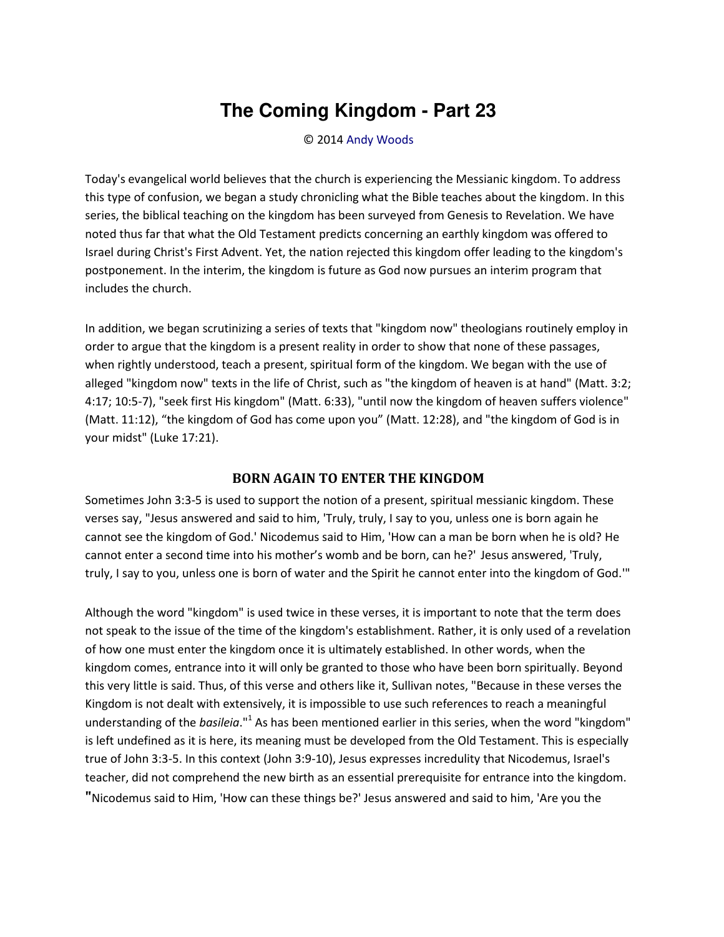## **The Coming Kingdom - Part 23**

## © 2014 [Andy Woods](http://www.spiritandtruth.org/id/aw.htm)

Today's evangelical world believes that the church is experiencing the Messianic kingdom. To address this type of confusion, we began a study chronicling what the Bible teaches about the kingdom. In this series, the biblical teaching on the kingdom has been surveyed from Genesis to Revelation. We have noted thus far that what the Old Testament predicts concerning an earthly kingdom was offered to Israel during Christ's First Advent. Yet, the nation rejected this kingdom offer leading to the kingdom's postponement. In the interim, the kingdom is future as God now pursues an interim program that includes the church.

In addition, we began scrutinizing a series of texts that "kingdom now" theologians routinely employ in order to argue that the kingdom is a present reality in order to show that none of these passages, when rightly understood, teach a present, spiritual form of the kingdom. We began with the use of alleged "kingdom now" texts in the life of Christ, such as "the kingdom of heaven is at hand" (Matt. 3:2; 4:17; 10:5-7), "seek first His kingdom" (Matt. 6:33), "until now the kingdom of heaven suffers violence" (Matt. 11:12), "the kingdom of God has come upon you" (Matt. 12:28), and "the kingdom of God is in your midst" (Luke 17:21).

## **BORN AGAIN TO ENTER THE KINGDOM**

Sometimes John 3:3-5 is used to support the notion of a present, spiritual messianic kingdom. These verses say, "Jesus answered and said to him, 'Truly, truly, I say to you, unless one is born again he cannot see the kingdom of God.' Nicodemus said to Him, 'How can a man be born when he is old? He cannot enter a second time into his mother's womb and be born, can he?' Jesus answered, 'Truly, truly, I say to you, unless one is born of water and the Spirit he cannot enter into the kingdom of God.'"

Although the word "kingdom" is used twice in these verses, it is important to note that the term does not speak to the issue of the time of the kingdom's establishment. Rather, it is only used of a revelation of how one must enter the kingdom once it is ultimately established. In other words, when the kingdom comes, entrance into it will only be granted to those who have been born spiritually. Beyond this very little is said. Thus, of this verse and others like it, Sullivan notes, "Because in these verses the Kingdom is not dealt with extensively, it is impossible to use such references to reach a meaningful understanding of the *basileia*."<sup>1</sup> As has been mentioned earlier in this series, when the word "kingdom" is left undefined as it is here, its meaning must be developed from the Old Testament. This is especially true of John 3:3-5. In this context (John 3:9-10), Jesus expresses incredulity that Nicodemus, Israel's teacher, did not comprehend the new birth as an essential prerequisite for entrance into the kingdom. **"**Nicodemus said to Him, 'How can these things be?' Jesus answered and said to him, 'Are you the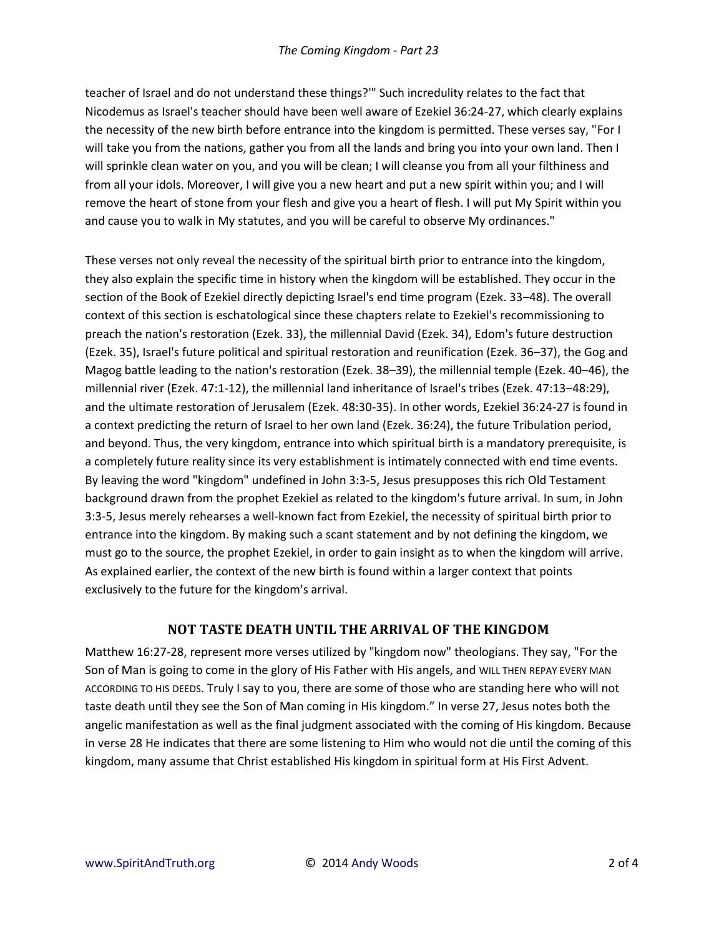teacher of Israel and do not understand these things?'" Such incredulity relates to the fact that Nicodemus as Israel's teacher should have been well aware of Ezekiel 36:24-27, which clearly explains the necessity of the new birth before entrance into the kingdom is permitted. These verses say, "For I will take you from the nations, gather you from all the lands and bring you into your own land. Then I will sprinkle clean water on you, and you will be clean; I will cleanse you from all your filthiness and from all your idols. Moreover, I will give you a new heart and put a new spirit within you; and I will remove the heart of stone from your flesh and give you a heart of flesh. I will put My Spirit within you and cause you to walk in My statutes, and you will be careful to observe My ordinances."

These verses not only reveal the necessity of the spiritual birth prior to entrance into the kingdom, they also explain the specific time in history when the kingdom will be established. They occur in the section of the Book of Ezekiel directly depicting Israel's end time program (Ezek. 33–48). The overall context of this section is eschatological since these chapters relate to Ezekiel's recommissioning to preach the nation's restoration (Ezek. 33), the millennial David (Ezek. 34), Edom's future destruction (Ezek. 35), Israel's future political and spiritual restoration and reunification (Ezek. 36–37), the Gog and Magog battle leading to the nation's restoration (Ezek. 38–39), the millennial temple (Ezek. 40–46), the millennial river (Ezek. 47:1-12), the millennial land inheritance of Israel's tribes (Ezek. 47:13–48:29), and the ultimate restoration of Jerusalem (Ezek. 48:30-35). In other words, Ezekiel 36:24-27 is found in a context predicting the return of Israel to her own land (Ezek. 36:24), the future Tribulation period, and beyond. Thus, the very kingdom, entrance into which spiritual birth is a mandatory prerequisite, is a completely future reality since its very establishment is intimately connected with end time events. By leaving the word "kingdom" undefined in John 3:3-5, Jesus presupposes this rich Old Testament background drawn from the prophet Ezekiel as related to the kingdom's future arrival. In sum, in John 3:3-5, Jesus merely rehearses a well-known fact from Ezekiel, the necessity of spiritual birth prior to entrance into the kingdom. By making such a scant statement and by not defining the kingdom, we must go to the source, the prophet Ezekiel, in order to gain insight as to when the kingdom will arrive. As explained earlier, the context of the new birth is found within a larger context that points exclusively to the future for the kingdom's arrival.

## **NOT TASTE DEATH UNTIL THE ARRIVAL OF THE KINGDOM**

Matthew 16:27-28, represent more verses utilized by "kingdom now" theologians. They say, "For the Son of Man is going to come in the glory of His Father with His angels, and WILL THEN REPAY EVERY MAN ACCORDING TO HIS DEEDS. Truly I say to you, there are some of those who are standing here who will not taste death until they see the Son of Man coming in His kingdom.<sup>™</sup> In verse 27, Jesus notes both the angelic manifestation as well as the final judgment associated with the coming of His kingdom. Because in verse 28 He indicates that there are some listening to Him who would not die until the coming of this kingdom, many assume that Christ established His kingdom in spiritual form at His First Advent.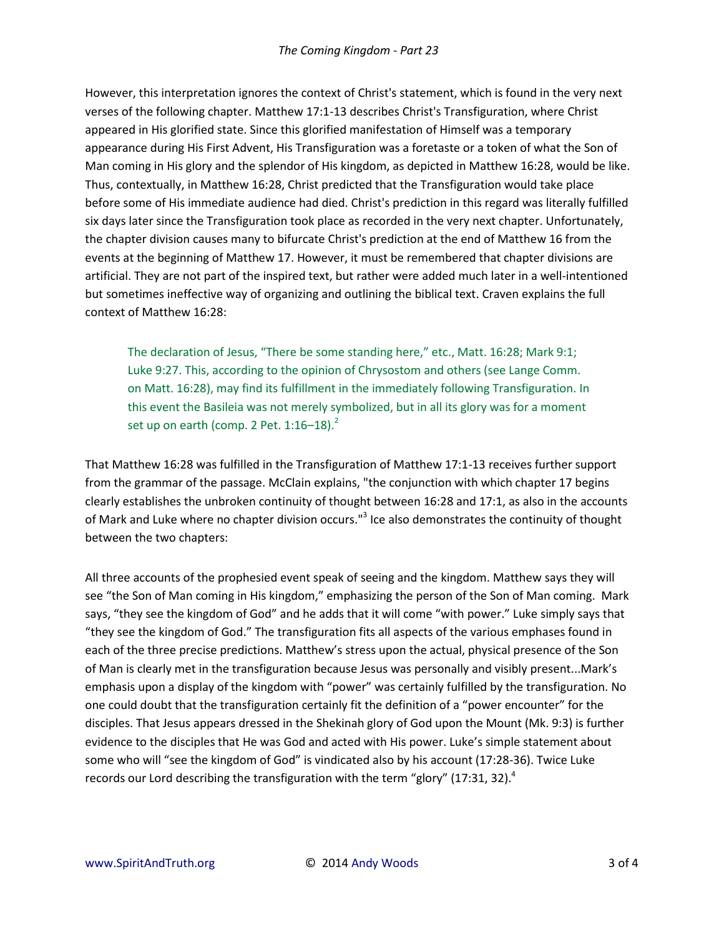However, this interpretation ignores the context of Christ's statement, which is found in the very next verses of the following chapter. Matthew 17:1-13 describes Christ's Transfiguration, where Christ appeared in His glorified state. Since this glorified manifestation of Himself was a temporary appearance during His First Advent, His Transfiguration was a foretaste or a token of what the Son of Man coming in His glory and the splendor of His kingdom, as depicted in Matthew 16:28, would be like. Thus, contextually, in Matthew 16:28, Christ predicted that the Transfiguration would take place before some of His immediate audience had died. Christ's prediction in this regard was literally fulfilled six days later since the Transfiguration took place as recorded in the very next chapter. Unfortunately, the chapter division causes many to bifurcate Christ's prediction at the end of Matthew 16 from the events at the beginning of Matthew 17. However, it must be remembered that chapter divisions are artificial. They are not part of the inspired text, but rather were added much later in a well-intentioned but sometimes ineffective way of organizing and outlining the biblical text. Craven explains the full context of Matthew 16:28:

The declaration of Jesus, "There be some standing here," etc., Matt. 16:28; Mark 9:1; Luke 9:27. This, according to the opinion of Chrysostom and others (see Lange Comm. on Matt. 16:28), may find its fulfillment in the immediately following Transfiguration. In this event the Basileia was not merely symbolized, but in all its glory was for a moment set up on earth (comp. 2 Pet.  $1:16-18$ ). $^{2}$ 

That Matthew 16:28 was fulfilled in the Transfiguration of Matthew 17:1-13 receives further support from the grammar of the passage. McClain explains, "the conjunction with which chapter 17 begins clearly establishes the unbroken continuity of thought between 16:28 and 17:1, as also in the accounts of Mark and Luke where no chapter division occurs."<sup>3</sup> Ice also demonstrates the continuity of thought between the two chapters:

All three accounts of the prophesied event speak of seeing and the kingdom. Matthew says they will see "the Son of Man coming in His kingdom," emphasizing the person of the Son of Man coming. Mark says, "they see the kingdom of God" and he adds that it will come "with power." Luke simply says that "they see the kingdom of God." The transfiguration fits all aspects of the various emphases found in each of the three precise predictions. Matthew's stress upon the actual, physical presence of the Son of Man is clearly met in the transfiguration because Jesus was personally and visibly present...Mark's emphasis upon a display of the kingdom with "power" was certainly fulfilled by the transfiguration. No one could doubt that the transfiguration certainly fit the definition of a "power encounter" for the disciples. That Jesus appears dressed in the Shekinah glory of God upon the Mount (Mk. 9:3) is further evidence to the disciples that He was God and acted with His power. Luke's simple statement about some who will "see the kingdom of God" is vindicated also by his account (17:28-36). Twice Luke records our Lord describing the transfiguration with the term "glory" (17:31, 32).<sup>4</sup>